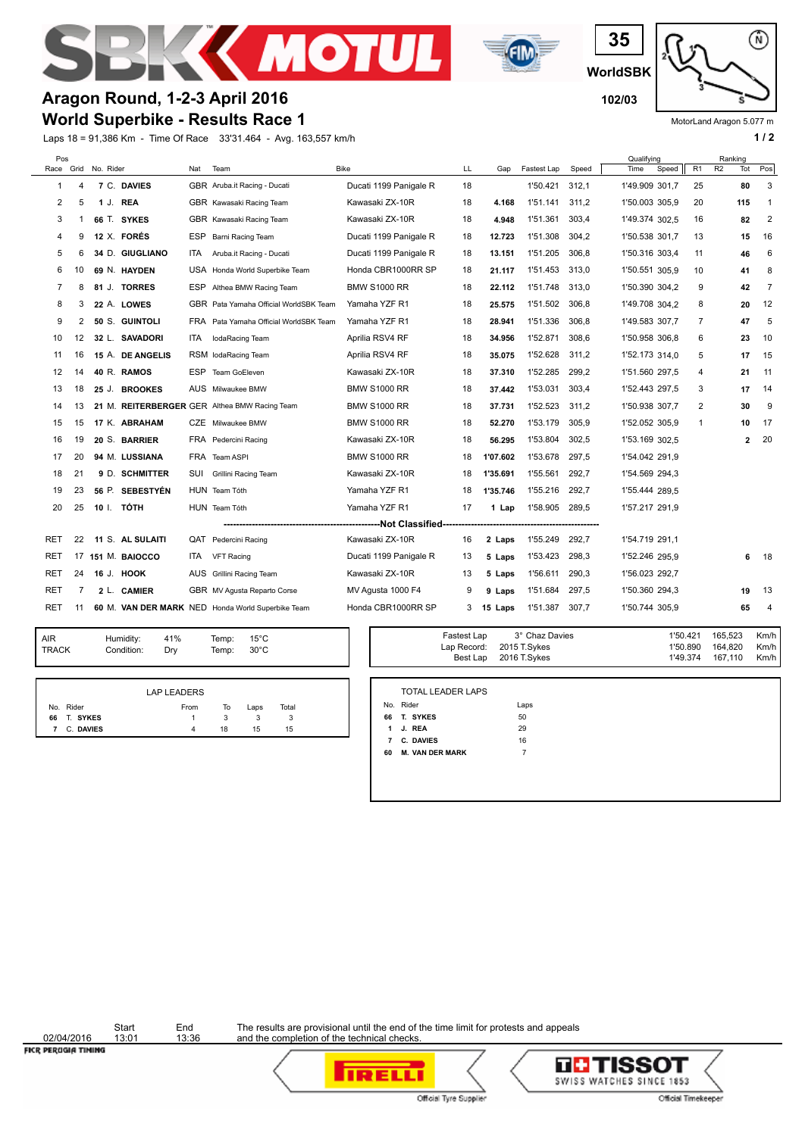







MotorLand Aragon 5.077 m

## **Aragon Round, 1-2-3 April 2016 102/03**

**World Superbike - Results Race 1**

Laps 18 = 91,386 Km - Time Of Race 33'31.464 - Avg. 163,557 km/h **1 / 2 1 / 2** 

| Pos<br>Race |                | Grid No. Rider |                  | Nat        | Team                                              | <b>Bike</b>            | LL | Gap      | Fastest Lap | Speed | Qualifying<br>Time<br>Speed | R <sub>1</sub> | Ranking<br>R2 | Tot | Pos            |
|-------------|----------------|----------------|------------------|------------|---------------------------------------------------|------------------------|----|----------|-------------|-------|-----------------------------|----------------|---------------|-----|----------------|
| 1           | 4              |                | 7 C. DAVIES      |            | GBR Aruba.it Racing - Ducati                      | Ducati 1199 Panigale R | 18 |          | 1'50.421    | 312,1 | 1'49.909 301,7              | 25             |               | 80  | 3              |
| 2           | 5              | 1 J.           | <b>REA</b>       |            | GBR Kawasaki Racing Team                          | Kawasaki ZX-10R        | 18 | 4.168    | 1'51.141    | 311.2 | 1'50.003 305,9              | 20             |               | 115 | -1             |
| 3           | 1              |                | 66 T. SYKES      |            | GBR Kawasaki Racing Team                          | Kawasaki ZX-10R        | 18 | 4.948    | 1'51.361    | 303.4 | 1'49.374 302.5              | 16             |               | 82  | $\overline{2}$ |
| 4           | 9              |                | 12 X. FORÉS      |            | ESP Barni Racing Team                             | Ducati 1199 Panigale R | 18 | 12.723   | 1'51.308    | 304.2 | 1'50.538 301,7              | 13             |               | 15  | 16             |
| 5           | 6              |                | 34 D. GIUGLIANO  | ITA.       | Aruba.it Racing - Ducati                          | Ducati 1199 Panigale R | 18 | 13.151   | 1'51.205    | 306,8 | 1'50.316 303,4              | 11             |               | 46  | 6              |
| 6           | 10             |                | 69 N. HAYDEN     |            | USA Honda World Superbike Team                    | Honda CBR1000RR SP     | 18 | 21.117   | 1'51.453    | 313.0 | 1'50.551 305,9              | 10             |               | 41  | 8              |
| 7           | 8              |                | 81 J. TORRES     |            | ESP Althea BMW Racing Team                        | BMW S1000 RR           | 18 | 22.112   | 1'51.748    | 313,0 | 1'50.390 304.2              | 9              |               | 42  | 7              |
| 8           | 3              |                | 22 A. LOWES      |            | GBR Pata Yamaha Official WorldSBK Team            | Yamaha YZF R1          | 18 | 25.575   | 1'51.502    | 306,8 | 1'49.708 304,2              | 8              |               | 20  | 12             |
| 9           | 2              |                | 50 S. GUINTOLI   |            | FRA Pata Yamaha Official WorldSBK Team            | Yamaha YZF R1          | 18 | 28.941   | 1'51.336    | 306,8 | 1'49.583 307.7              | 7              |               | 47  | 5              |
| 10          | 12             |                | 32 L. SAVADORI   | <b>ITA</b> | IodaRacing Team                                   | Aprilia RSV4 RF        | 18 | 34.956   | 1'52.871    | 308.6 | 1'50.958 306.8              | 6              |               | 23  | 10             |
| 11          | 16             |                | 15 A. DE ANGELIS |            | RSM lodaRacing Team                               | Aprilia RSV4 RF        | 18 | 35.075   | 1'52.628    | 311.2 | 1'52.173 314.0              | 5              |               | 17  | 15             |
| 12          | 14             |                | 40 R. RAMOS      | ESP        | Team GoEleven                                     | Kawasaki ZX-10R        | 18 | 37.310   | 1'52.285    | 299.2 | 1'51.560 297,5              | 4              |               | 21  | 11             |
| 13          | 18             |                | 25 J. BROOKES    |            | AUS Milwaukee BMW                                 | BMW S1000 RR           | 18 | 37.442   | 1'53.031    | 303,4 | 1'52.443 297,5              | 3              |               | 17  | -14            |
| 14          | 13             |                |                  |            | 21 M. REITERBERGER GER Althea BMW Racing Team     | BMW S1000 RR           | 18 | 37.731   | 1'52.523    | 311,2 | 1'50.938 307,7              | 2              |               | 30  | 9              |
| 15          | 15             |                | 17 K. ABRAHAM    |            | CZE Milwaukee BMW                                 | BMW S1000 RR           | 18 | 52.270   | 1'53.179    | 305,9 | 1'52.052 305,9              | 1              |               | 10  | 17             |
| 16          | 19             |                | 20 S. BARRIER    |            | FRA Pedercini Racing                              | Kawasaki ZX-10R        | 18 | 56.295   | 1'53.804    | 302,5 | 1'53.169 302,5              |                |               | 2   | 20             |
| 17          | 20             |                | 94 M. LUSSIANA   |            | FRA Team ASPI                                     | <b>BMW S1000 RR</b>    | 18 | 1'07.602 | 1'53.678    | 297.5 | 1'54.042 291,9              |                |               |     |                |
| 18          | 21             |                | 9 D. SCHMITTER   | SUI        | Grillini Racing Team                              | Kawasaki ZX-10R        | 18 | 1'35.691 | 1'55.561    | 292,7 | 1'54.569 294.3              |                |               |     |                |
| 19          | 23             |                | 56 P. SEBESTYÉN  |            | HUN Team Tóth                                     | Yamaha YZF R1          | 18 | 1'35.746 | 1'55.216    | 292,7 | 1'55.444 289,5              |                |               |     |                |
| 20          | 25             |                | 10 I. TÓTH       |            | HUN Team Tóth                                     | Yamaha YZF R1          | 17 | 1 Lap    | 1'58.905    | 289,5 | 1'57.217 291,9              |                |               |     |                |
|             |                |                |                  |            |                                                   |                        |    |          |             |       |                             |                |               |     |                |
| RET         | 22             |                | 11 S. AL SULAITI |            | QAT Pedercini Racing                              | Kawasaki ZX-10R        | 16 | 2 Laps   | 1'55.249    | 292,7 | 1'54.719 291,1              |                |               |     |                |
| RET         | 17             |                | 151 M. BAIOCCO   | ITA.       | <b>VFT Racing</b>                                 | Ducati 1199 Panigale R | 13 | 5 Laps   | 1'53.423    | 298,3 | 1'52.246 295,9              |                |               | 6   | 18             |
| RET         | 24             |                | 16 J. HOOK       |            | AUS Grillini Racing Team                          | Kawasaki ZX-10R        | 13 | 5 Laps   | 1'56.611    | 290,3 | 1'56.023 292.7              |                |               |     |                |
| RET         | $\overline{7}$ |                | 2 L. CAMIER      |            | GBR MV Agusta Reparto Corse                       | MV Agusta 1000 F4      | 9  | 9 Laps   | 1'51.684    | 297.5 | 1'50.360 294,3              |                |               | 19  | 13             |
| RET         | 11             |                |                  |            | 60 M. VAN DER MARK NED Honda World Superbike Team | Honda CBR1000RR SP     | 3  | 15 Laps  | 1'51.387    | 307,7 | 1'50.744 305,9              |                |               | 65  | $\overline{4}$ |

| <b>AIR</b><br>Humidity:<br>TRACK<br>Condition: | 41%<br>Drv | Temp:<br>Temp: | $15^{\circ}$ C<br>$30^{\circ}$ C |  |
|------------------------------------------------|------------|----------------|----------------------------------|--|
|------------------------------------------------|------------|----------------|----------------------------------|--|

|   |             | <b>LAP LEADERS</b> |    |      |       |
|---|-------------|--------------------|----|------|-------|
|   | No. Rider   | From               | To | Laps | Total |
|   | 66 T. SYKES |                    | 3  |      |       |
| 7 | C. DAVIES   | 4                  | 18 | 15   | 15    |

| Temp: | $15^{\circ}$ C | Fastest Lap             | 3° Chaz Davies               | 1'50.421             | 165.523            | Km/h         |
|-------|----------------|-------------------------|------------------------------|----------------------|--------------------|--------------|
| Temp: | $30^{\circ}$ C | Lap Record:<br>Best Lap | 2015 T.Svkes<br>2016 T.Svkes | 1'50.890<br>1'49.374 | 164.820<br>167.110 | Km/h<br>Km/h |
|       |                |                         |                              |                      |                    |              |

|                | No. Rider              | Laps |
|----------------|------------------------|------|
| 66             | T. SYKES               | 50   |
| 1              | J. REA                 | 29   |
| $\overline{7}$ | C. DAVIES              | 16   |
| 60             | <b>M. VAN DER MARK</b> | 7    |

02/04/2016<br>FICR PEROGIA TIMING

Start End<br>13:01 13:36



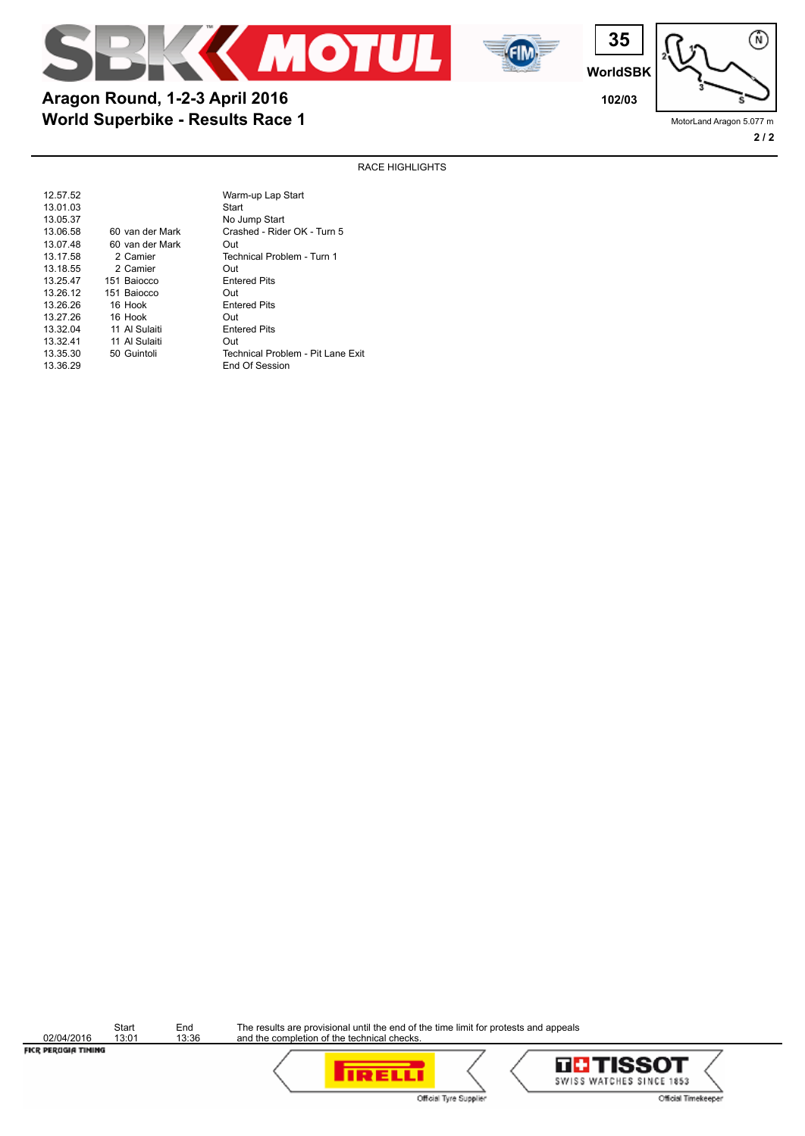



**World Superbike - Results Race 1 Aragon Round, 1-2-3 April 2016 102/03**

**WorldSBK**

**35**

渝

MotorLand Aragon 5.077 m

### RACE HIGHLIGHTS

| 12.57.52 |                 | Warm-up Lap Start                 |
|----------|-----------------|-----------------------------------|
| 13.01.03 |                 | Start                             |
| 13.05.37 |                 | No Jump Start                     |
| 13.06.58 | 60 van der Mark | Crashed - Rider OK - Turn 5       |
| 13.07.48 | 60 van der Mark | Out                               |
| 13.17.58 | 2 Camier        | Technical Problem - Turn 1        |
| 13.18.55 | 2 Camier        | Out                               |
| 13.25.47 | 151 Baiocco     | <b>Entered Pits</b>               |
| 13.26.12 | 151 Baiocco     | Out                               |
| 13.26.26 | 16 Hook         | <b>Entered Pits</b>               |
| 13.27.26 | 16 Hook         | Out                               |
| 13.32.04 | 11 Al Sulaiti   | <b>Entered Pits</b>               |
| 13.32.41 | 11 Al Sulaiti   | Out                               |
| 13.35.30 | 50 Guintoli     | Technical Problem - Pit Lane Exit |
| 13.36.29 |                 | End Of Session                    |

02/04/2016<br>FICR PEROGIA TIMING

Start End<br>13:01 13:36



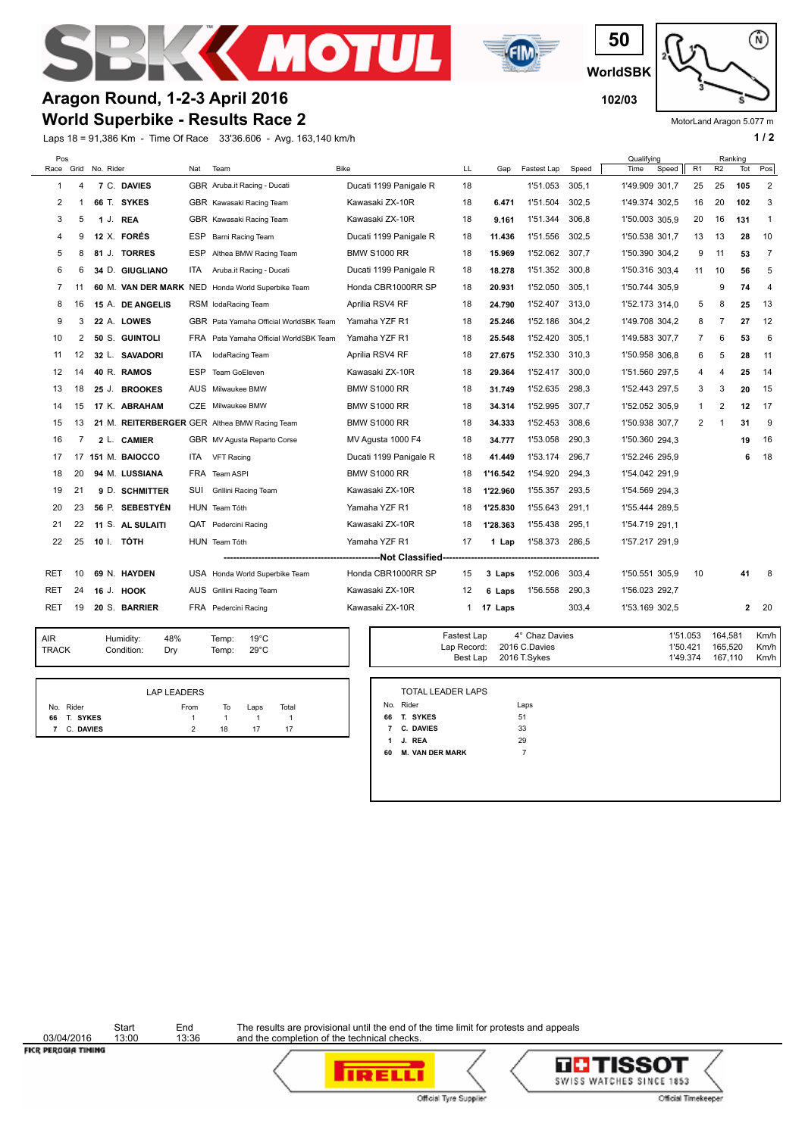







MotorLand Aragon 5.077 m

## **World Superbike - Results Race 2 Aragon Round, 1-2-3 April 2016 102/03**

Laps 18 = 91,386 Km - Time Of Race 33'36.606 - Avg. 163,140 km/h **1 and 1 and 1 and 1 and 1 and 1 a** 1 a

| Pos  |    |                |                        |      |                                               |                                 |    |          |             |       | Qualifying     |       |                |                | Ranking |                |
|------|----|----------------|------------------------|------|-----------------------------------------------|---------------------------------|----|----------|-------------|-------|----------------|-------|----------------|----------------|---------|----------------|
| Race |    | Grid No. Rider |                        | Nat  | Team                                          | <b>Bike</b>                     | LL | Gap      | Fastest Lap | Speed | Time           | Speed | R <sub>1</sub> | R <sub>2</sub> | Tot     | Pos            |
| 1    | 4  |                | 7 C. DAVIES            |      | GBR Aruba.it Racing - Ducati                  | Ducati 1199 Panigale R          | 18 |          | 1'51.053    | 305,1 | 1'49.909 301.7 |       | 25             | 25             | 105     | $\overline{2}$ |
| 2    |    | 66 T.          | <b>SYKES</b>           |      | GBR Kawasaki Racing Team                      | Kawasaki ZX-10R                 | 18 | 6.471    | 1'51.504    | 302.5 | 1'49.374 302,5 |       | 16             | 20             | 102     | 3              |
| 3    | 5  | 1 J.           | <b>REA</b>             |      | GBR Kawasaki Racing Team                      | Kawasaki ZX-10R                 | 18 | 9.161    | 1'51.344    | 306.8 | 1'50.003 305.9 |       | 20             | 16             | 131     | $\mathbf{1}$   |
| 4    | 9  |                | 12 X. FORÉS            |      | ESP Barni Racing Team                         | Ducati 1199 Panigale R          | 18 | 11.436   | 1'51.556    | 302.5 | 1'50.538 301.7 |       | 13             | 13             | 28      | 10             |
| 5    | 8  |                | 81 J. TORRES           | ESP  | Althea BMW Racing Team                        | <b>BMW S1000 RR</b>             | 18 | 15.969   | 1'52.062    | 307,7 | 1'50.390 304,2 |       | 9              | 11             | 53      | 7              |
| 6    | 6  |                | 34 D. GIUGLIANO        | ITA  | Aruba.it Racing - Ducati                      | Ducati 1199 Panigale R          | 18 | 18.278   | 1'51.352    | 300,8 | 1'50.316 303,4 |       | 11             | 10             | 56      | 5              |
| 7    | 11 |                | 60 M. VAN DER MARK NED |      | Honda World Superbike Team                    | Honda CBR1000RR SP              | 18 | 20.931   | 1'52.050    | 305,1 | 1'50.744 305.9 |       |                | 9              | 74      | 4              |
| 8    | 16 |                | 15 A. DE ANGELIS       |      | RSM lodaRacing Team                           | Aprilia RSV4 RF                 | 18 | 24.790   | 1'52.407    | 313,0 | 1'52.173 314,0 |       | 5              | 8              | 25      | 13             |
| 9    | 3  |                | 22 A. LOWES            |      | GBR Pata Yamaha Official WorldSBK Team        | Yamaha YZF R1                   | 18 | 25.246   | 1'52.186    | 304,2 | 1'49.708 304,2 |       | 8              | 7              | 27      | 12             |
| 10   | 2  |                | 50 S. GUINTOLI         | FRA  | Pata Yamaha Official WorldSBK Team            | Yamaha YZF R1                   | 18 | 25.548   | 1'52.420    | 305.1 | 1'49.583 307.7 |       | 7              | 6              | 53      | 6              |
| 11   | 12 |                | 32 L. SAVADORI         | ITA. | lodaRacing Team                               | Aprilia RSV4 RF                 | 18 | 27.675   | 1'52.330    | 310.3 | 1'50.958 306.8 |       | 6              | 5              | 28      | 11             |
| 12   | 14 |                | 40 R. RAMOS            | ESP  | Team GoEleven                                 | Kawasaki ZX-10R                 | 18 | 29.364   | 1'52.417    | 300,0 | 1'51.560 297,5 |       | 4              | 4              | 25      | 14             |
| 13   | 18 |                | 25 J. BROOKES          |      | AUS Milwaukee BMW                             | <b>BMW S1000 RR</b>             | 18 | 31.749   | 1'52.635    | 298,3 | 1'52.443 297.5 |       | 3              | 3              | 20      | 15             |
| 14   | 15 |                | 17 K. ABRAHAM          |      | CZE Milwaukee BMW                             | <b>BMW S1000 RR</b>             | 18 | 34.314   | 1'52.995    | 307.7 | 1'52.052 305.9 |       | $\mathbf{1}$   | $\overline{2}$ | 12      | 17             |
| 15   | 13 |                |                        |      | 21 M. REITERBERGER GER Althea BMW Racing Team | BMW S1000 RR                    | 18 | 34.333   | 1'52.453    | 308,6 | 1'50.938 307,7 |       | 2              | 1              | 31      | 9              |
| 16   | 7  |                | 2 L. CAMIER            |      | GBR MV Agusta Reparto Corse                   | MV Agusta 1000 F4               | 18 | 34.777   | 1'53.058    | 290.3 | 1'50.360 294,3 |       |                |                | 19      | 16             |
| 17   | 17 |                | 151 M. BAIOCCO         | ITA. | <b>VFT Racing</b>                             | Ducati 1199 Panigale R          | 18 | 41.449   | 1'53.174    | 296.7 | 1'52.246 295,9 |       |                |                | 6       | 18             |
| 18   | 20 |                | 94 M. LUSSIANA         | FRA  | Team ASPI                                     | <b>BMW S1000 RR</b>             | 18 | 1'16.542 | 1'54.920    | 294,3 | 1'54.042 291,9 |       |                |                |         |                |
| 19   | 21 |                | 9 D. SCHMITTER         | SUI  | Grillini Racing Team                          | Kawasaki ZX-10R                 | 18 | 1'22.960 | 1'55.357    | 293.5 | 1'54.569 294.3 |       |                |                |         |                |
| 20   | 23 |                | 56 P. SEBESTYÉN        |      | HUN Team Tóth                                 | Yamaha YZF R1                   | 18 | 1'25.830 | 1'55.643    | 291,1 | 1'55.444 289.5 |       |                |                |         |                |
| 21   | 22 |                | 11 S. AL SULAITI       | QAT  | Pedercini Racing                              | Kawasaki ZX-10R                 | 18 | 1'28.363 | 1'55.438    | 295,1 | 1'54.719 291,1 |       |                |                |         |                |
| 22   | 25 |                | 10 I. TÓTH             |      | HUN Team Tóth                                 | Yamaha YZF R1                   | 17 | 1 Lap    | 1'58.373    | 286,5 | 1'57.217 291.9 |       |                |                |         |                |
|      |    |                |                        |      |                                               | -------------Not Classified---- |    |          |             |       |                |       |                |                |         |                |
| RET  | 10 |                | 69 N. HAYDEN           |      | USA Honda World Superbike Team                | Honda CBR1000RR SP              | 15 | 3 Laps   | 1'52.006    | 303,4 | 1'50.551 305.9 |       | 10             |                | 41      | -8             |
| RET  | 24 | 16 J.          | HOOK                   |      | AUS Grillini Racing Team                      | Kawasaki ZX-10R                 | 12 | 6 Laps   | 1'56.558    | 290,3 | 1'56.023 292,7 |       |                |                |         |                |
| RET  | 19 |                | 20 S. BARRIER          |      | FRA Pedercini Racing                          | Kawasaki ZX-10R                 | 1  | 17 Laps  |             | 303,4 | 1'53.169 302,5 |       |                |                | 2       | -20            |

| AIR          | Humidity:  | 48% |
|--------------|------------|-----|
| <b>TRACK</b> | Condition: | Dry |

48% 19°C Temp: 29°C

|             |           | <b>LAP LEADERS</b> |    |      |       |
|-------------|-----------|--------------------|----|------|-------|
| No. Rider   |           | From               | To | Laps | Total |
| 66 T. SYKES |           |                    |    |      |       |
| 7           | C. DAVIES | 2                  | 18 | 17   | 17    |

| Temp:<br>$19^{\circ}$ C<br>Temp:<br>$29^{\circ}$ C | Fastest Lap | 4° Chaz Davies<br>Lap Record: 2016 C.Davies<br>Best Lap 2016 T. Sykes | 1'51.053  164.581<br>1'50.421<br>1'49.374 | 165.520<br>167.110 | Km/h<br>Km/h<br>Km/h I |
|----------------------------------------------------|-------------|-----------------------------------------------------------------------|-------------------------------------------|--------------------|------------------------|
|                                                    |             |                                                                       |                                           |                    |                        |

|              | No. Rider              | Laps |  |
|--------------|------------------------|------|--|
| 66           | T. SYKES               | 51   |  |
| $\mathbf{7}$ | C. DAVIES              | 33   |  |
|              | 1 J. REA               | 29   |  |
| 60           | <b>M. VAN DER MARK</b> | 7    |  |

03/04/2016<br>FICR PEROGIA TIMING

Start End<br>13:00 13:36





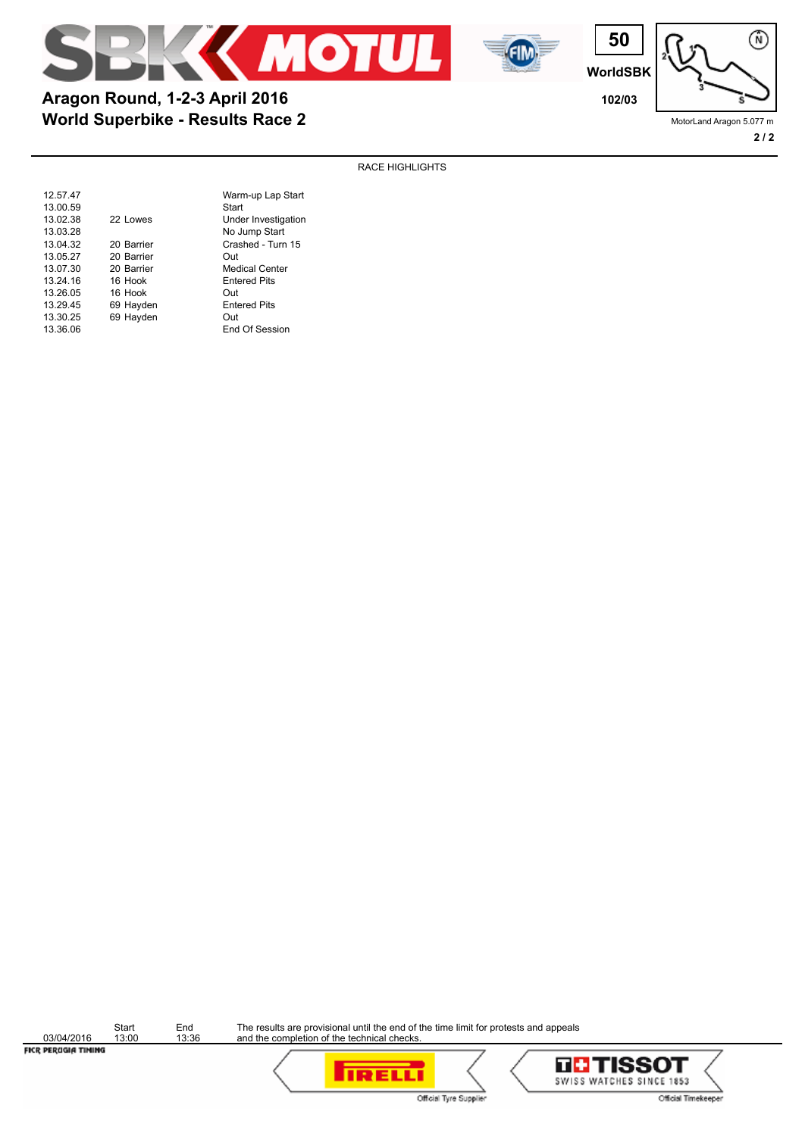



**World Superbike - Results Race 2 Aragon Round, 1-2-3 April 2016 102/03**

**WorldSBK**

**50**



MotorLand Aragon 5.077 m

渝

### RACE HIGHLIGHTS

| 12.57.47 |            | Warm-up Lap Start     |
|----------|------------|-----------------------|
| 13.00.59 |            | Start                 |
| 13.02.38 | 22 Lowes   | Under Investigation   |
| 13.03.28 |            | No Jump Start         |
| 13.04.32 | 20 Barrier | Crashed - Turn 15     |
| 13.05.27 | 20 Barrier | Out                   |
| 13.07.30 | 20 Barrier | <b>Medical Center</b> |
| 13.24.16 | 16 Hook    | <b>Entered Pits</b>   |
| 13.26.05 | 16 Hook    | Out                   |
| 13.29.45 | 69 Hayden  | <b>Entered Pits</b>   |
| 13.30.25 | 69 Hayden  | Out                   |
| 13.36.06 |            | End Of Session        |
|          |            |                       |

03/04/2016<br>FICR PEROGIA TIMING

Start End<br>13:00 13:36



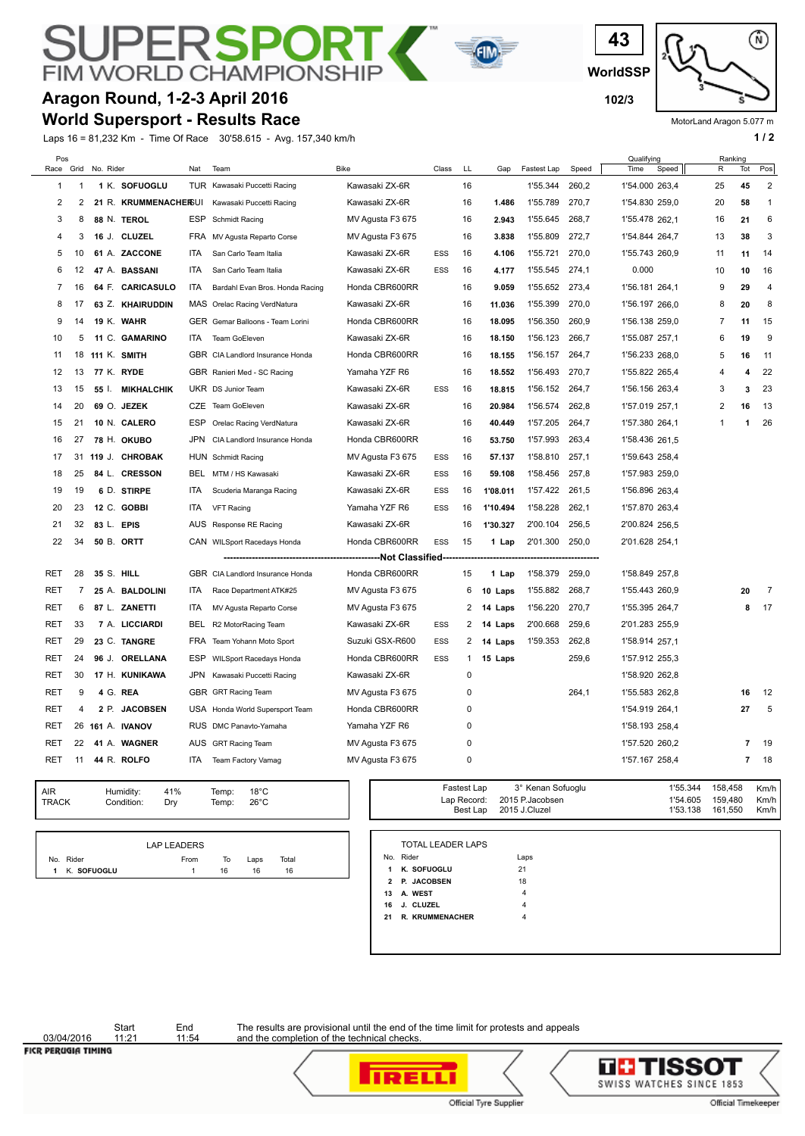### ⊃[ **RSPC FIM WORLD CHAMPION**

# **Aragon Round, 1-2-3 April 2016 102/3 102/3**

**World Supersport - Results Race**

Laps 16 = 81,232 Km - Time Of Race 30'58.615 - Avg. 157,340 km/h **1 and 2 1 and 2 1 a 1 a 1 a 1 a 1 a 1 a 1 a 1 a 1 a 1 a 1 a 1 a 1 a 1 a 1 a 1 a 1 a 1 a 1 a 1 a 1 a 1 a 1 a** 



MotorLand Aragon 5.077 m

| Pos<br>Race    | Grid           | No. Rider  |                       | Nat        | Team                             | <b>Bike</b>                 | Class      | LL          | Gap      | Fastest Lap | Speed | Qualifying<br>Time<br>Speed | R              | Ranking<br>Tot          | Pos            |
|----------------|----------------|------------|-----------------------|------------|----------------------------------|-----------------------------|------------|-------------|----------|-------------|-------|-----------------------------|----------------|-------------------------|----------------|
| 1              | 1              |            | 1 K. SOFUOGLU         |            | TUR Kawasaki Puccetti Racing     | Kawasaki ZX-6R              |            | 16          |          | 1'55.344    | 260,2 | 1'54.000 263,4              | 25             | 45                      | $\overline{2}$ |
| 2              | $\overline{2}$ |            | 21 R. KRUMMENACHERSUI |            | Kawasaki Puccetti Racing         | Kawasaki ZX-6R              |            | 16          | 1.486    | 1'55.789    | 270,7 | 1'54.830 259,0              | 20             | 58                      | $\mathbf{1}$   |
| 3              | 8              |            | 88 N. TEROL           | ESP        | Schmidt Racing                   | MV Agusta F3 675            |            | 16          | 2.943    | 1'55.645    | 268.7 | 1'55.478 262.1              | 16             | 21                      | 6              |
| 4              | 3              |            | 16 J. CLUZEL          |            | FRA MV Agusta Reparto Corse      | MV Agusta F3 675            |            | 16          | 3.838    | 1'55.809    | 272,7 | 1'54.844 264,7              | 13             | 38                      | 3              |
| 5              | 10             |            | 61 A. ZACCONE         | <b>ITA</b> | San Carlo Team Italia            | Kawasaki ZX-6R              | <b>ESS</b> | 16          | 4.106    | 1'55.721    | 270,0 | 1'55.743 260,9              | 11             | 11                      | 14             |
| 6              | 12             |            | 47 A. BASSANI         | ITA        | San Carlo Team Italia            | Kawasaki ZX-6R              | <b>ESS</b> | 16          | 4.177    | 1'55.545    | 274,1 | 0.000                       | 10             | 10                      | 16             |
| $\overline{7}$ | 16             |            | 64 F. CARICASULO      | ITA        | Bardahl Evan Bros. Honda Racing  | Honda CBR600RR              |            | 16          | 9.059    | 1'55.652    | 273,4 | 1'56.181 264,1              | 9              | 29                      | 4              |
| 8              | 17             |            | 63 Z. KHAIRUDDIN      |            | MAS Orelac Racing VerdNatura     | Kawasaki ZX-6R              |            | 16          | 11.036   | 1'55.399    | 270,0 | 1'56.197 266,0              | 8              | 20                      | 8              |
| 9              | 14             |            | 19 K. WAHR            |            | GER Gemar Balloons - Team Lorini | Honda CBR600RR              |            | 16          | 18.095   | 1'56.350    | 260,9 | 1'56.138 259,0              | 7              | 11                      | 15             |
| 10             | 5              |            | 11 C. GAMARINO        | ITA.       | Team GoEleven                    | Kawasaki ZX-6R              |            | 16          | 18.150   | 1'56.123    | 266,7 | 1'55.087 257,1              | 6              | 19                      | 9              |
| 11             | 18             |            | <b>111 K. SMITH</b>   |            | GBR CIA Landlord Insurance Honda | Honda CBR600RR              |            | 16          | 18.155   | 1'56.157    | 264,7 | 1'56.233 268,0              | 5              | 16                      | 11             |
| 12             | 13             |            | 77 K. RYDE            |            | GBR Ranieri Med - SC Racing      | Yamaha YZF R6               |            | 16          | 18.552   | 1'56.493    | 270,7 | 1'55.822 265,4              | 4              | $\overline{\mathbf{4}}$ | 22             |
| 13             | 15             | 55 I.      | <b>MIKHALCHIK</b>     |            | UKR DS Junior Team               | Kawasaki ZX-6R              | <b>ESS</b> | 16          | 18.815   | 1'56.152    | 264,7 | 1'56.156 263,4              | 3              | 3                       | 23             |
| 14             | 20             |            | 69 O. JEZEK           |            | CZE Team GoEleven                | Kawasaki ZX-6R              |            | 16          | 20.984   | 1'56.574    | 262,8 | 1'57.019 257,1              | $\overline{2}$ | 16                      | 13             |
| 15             | 21             |            | 10 N. CALERO          | <b>ESP</b> | Orelac Racing VerdNatura         | Kawasaki ZX-6R              |            | 16          | 40.449   | 1'57.205    | 264,7 | 1'57.380 264,1              | $\mathbf{1}$   | 1                       | 26             |
| 16             | 27             |            | 78 H. OKUBO           | JPN        | CIA Landlord Insurance Honda     | Honda CBR600RR              |            | 16          | 53.750   | 1'57.993    | 263,4 | 1'58.436 261,5              |                |                         |                |
| 17             | 31             |            | 119 J. CHROBAK        |            | HUN Schmidt Racing               | MV Agusta F3 675            | <b>ESS</b> | 16          | 57.137   | 1'58.810    | 257,1 | 1'59.643 258,4              |                |                         |                |
| 18             | 25             |            | 84 L. CRESSON         |            | BEL MTM / HS Kawasaki            | Kawasaki ZX-6R              | <b>ESS</b> | 16          | 59.108   | 1'58.456    | 257,8 | 1'57.983 259,0              |                |                         |                |
| 19             | 19             |            | 6 D. STIRPE           | ITA        | Scuderia Maranga Racing          | Kawasaki ZX-6R              | ESS        | 16          | 1'08.011 | 1'57.422    | 261,5 | 1'56.896 263,4              |                |                         |                |
| 20             | 23             |            | 12 C. GOBBI           | ITA        | <b>VFT Racing</b>                | Yamaha YZF R6               | <b>ESS</b> | 16          | 1'10.494 | 1'58.228    | 262,1 | 1'57.870 263,4              |                |                         |                |
| 21             | 32             | 83 L. EPIS |                       |            | AUS Response RE Racing           | Kawasaki ZX-6R              |            | 16          | 1'30.327 | 2'00.104    | 256.5 | 2'00.824 256,5              |                |                         |                |
| 22             | 34             |            | 50 B. ORTT            |            | CAN WILSport Racedays Honda      | Honda CBR600RR              | ESS        | 15          | 1 Lap    | 2'01.300    | 250,0 | 2'01.628 254,1              |                |                         |                |
|                |                |            |                       |            |                                  | -----------Not Classified - |            |             |          |             |       |                             |                |                         |                |
| RET            | 28             | 35 S. HILL |                       |            | GBR CIA Landlord Insurance Honda | Honda CBR600RR              |            | 15          | 1 Lap    | 1'58.379    | 259,0 | 1'58.849 257,8              |                |                         |                |
| RET            | $\overline{7}$ |            | 25 A. BALDOLINI       | ITA        | Race Department ATK#25           | MV Agusta F3 675            |            | 6           | 10 Laps  | 1'55.882    | 268,7 | 1'55.443 260,9              |                | 20                      | $\overline{7}$ |
| RET            | 6              |            | 87 L. ZANETTI         | ITA        | MV Agusta Reparto Corse          | MV Agusta F3 675            |            | 2           | 14 Laps  | 1'56.220    | 270,7 | 1'55.395 264,7              |                | 8                       | 17             |
| RET            | 33             |            | 7 A. LICCIARDI        | BEL        | R2 MotorRacing Team              | Kawasaki ZX-6R              | <b>ESS</b> | 2           | 14 Laps  | 2'00.668    | 259,6 | 2'01.283 255,9              |                |                         |                |
| RET            | 29             |            | 23 C. TANGRE          | <b>FRA</b> | Team Yohann Moto Sport           | Suzuki GSX-R600             | ESS        | 2           | 14 Laps  | 1'59.353    | 262,8 | 1'58.914 257,1              |                |                         |                |
| <b>RET</b>     | 24             | 96 J.      | <b>ORELLANA</b>       | ESP        | <b>WILSport Racedays Honda</b>   | Honda CBR600RR              | <b>ESS</b> | 1           | 15 Laps  |             | 259,6 | 1'57.912 255,3              |                |                         |                |
| RET            | 30             |            | 17 H. KUNIKAWA        | JPN        | Kawasaki Puccetti Racing         | Kawasaki ZX-6R              |            | $\mathbf 0$ |          |             |       | 1'58.920 262,8              |                |                         |                |
| RET            | 9              |            | 4 G. REA              |            | GBR GRT Racing Team              | MV Agusta F3 675            |            | 0           |          |             | 264,1 | 1'55.583 262,8              |                | 16                      | 12             |
| <b>RET</b>     | 4              | 2 P.       | <b>JACOBSEN</b>       |            | USA Honda World Supersport Team  | Honda CBR600RR              |            | $\mathbf 0$ |          |             |       | 1'54.919 264,1              |                | 27                      | 5              |
| RET            | 26             |            | 161 A. IVANOV         |            | RUS DMC Panavto-Yamaha           | Yamaha YZF R6               |            | $\mathbf 0$ |          |             |       | 1'58.193 258,4              |                |                         |                |
| RET            | 22             |            | 41 A. WAGNER          |            | AUS GRT Racing Team              | MV Agusta F3 675            |            | 0           |          |             |       | 1'57.520 260.2              |                | $\overline{7}$          | 19             |
| RET            | 11             |            | 44 R. ROLFO           | ITA        | Team Factory Vamag               | MV Agusta F3 675            |            | 0           |          |             |       | 1'57.167 258,4              |                | $\overline{\mathbf{r}}$ | 18             |
|                |                |            |                       |            |                                  |                             |            |             |          |             |       |                             |                |                         |                |

GIN

| AIR   | Humidity:  | 41% | Temp: | $18^{\circ}$ C |
|-------|------------|-----|-------|----------------|
| TRACK | Condition: | Drv | Temp: | $26^{\circ}$ C |

|               | LAP LEADERS |    |      |       |  |
|---------------|-------------|----|------|-------|--|
| No. Rider     | From        | To | Laps | Total |  |
| 1 K. SOFUOGLU |             | 16 | 16   | 16    |  |

| Temp:<br>$18^{\circ}$ C<br>Temp:<br>$26^{\circ}$ C |  | Fastest Lap | 3° Kenan Sofuoglu<br>Lap Record: 2015 P. Jacobsen<br>Best Lap 2015 J.Cluzel | 1'53.138 | 1'55.344 158.458<br>1'54.605 159.480<br>161.550 | Km/h<br>Km/h<br>Km/h |
|----------------------------------------------------|--|-------------|-----------------------------------------------------------------------------|----------|-------------------------------------------------|----------------------|
|----------------------------------------------------|--|-------------|-----------------------------------------------------------------------------|----------|-------------------------------------------------|----------------------|

|                | No. Rider          | Laps |
|----------------|--------------------|------|
| 1              | K. SOFUOGLU        | 21   |
| $\overline{2}$ | <b>P. JACOBSEN</b> | 18   |
| 13             | A. WEST            | 4    |
| 16             | J. CLUZEL          | 4    |
| 21             | R. KRUMMENACHER    | 4    |

03/04/2016<br>FICR PERUGIA TIMING

Start End<br>11:21 11:54



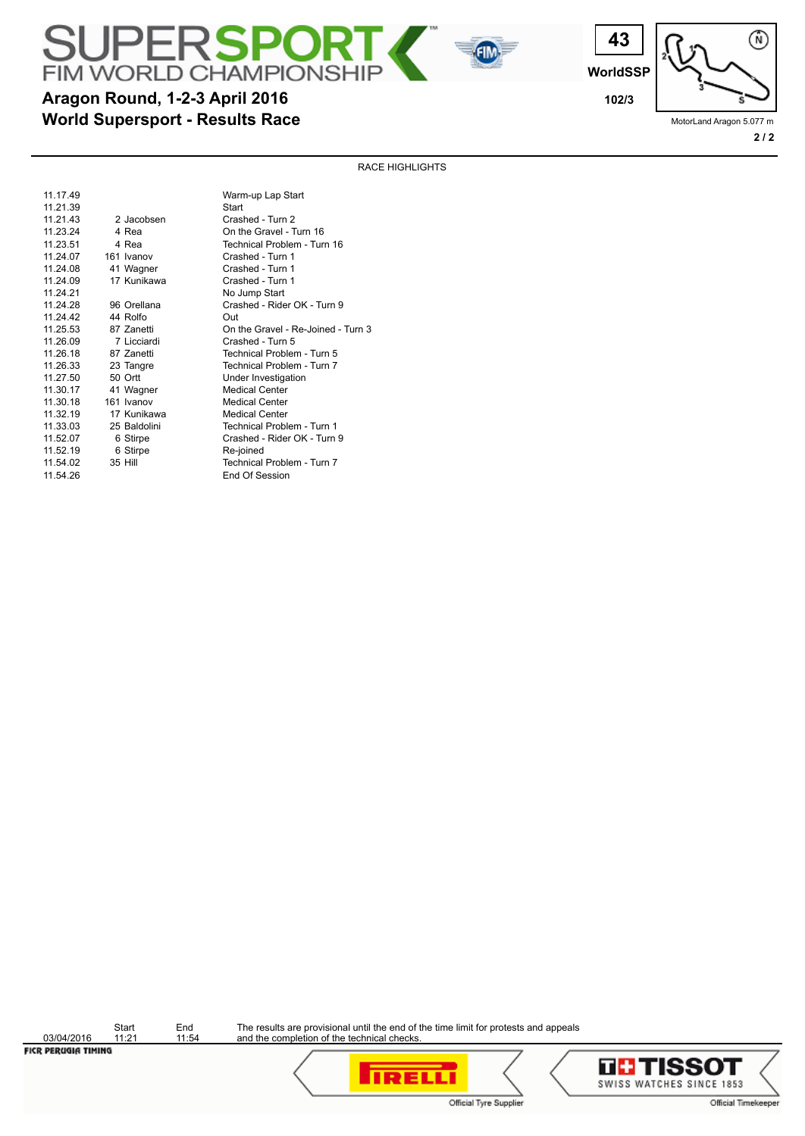**WorldSSP**

**43**

**Aragon Round, 1-2-3 April 2016 102/3 102/3** 

MotorLand Aragon 5.077 m **2 / 2**

渝

RACE HIGHLIGHTS

 $\sqrt{f}$ 

| 11.17.49 |              | Warm-up Lap Start                  |
|----------|--------------|------------------------------------|
| 11.21.39 |              | Start                              |
| 11.21.43 | 2 Jacobsen   | Crashed - Turn 2                   |
| 11.23.24 | 4 Rea        | On the Gravel - Turn 16            |
| 11.23.51 | 4 Rea        | Technical Problem - Turn 16        |
| 11 24 07 | 161 Ivanov   | Crashed - Turn 1                   |
| 11.24.08 | 41 Wagner    | Crashed - Turn 1                   |
| 11.24.09 | 17 Kunikawa  | Crashed - Turn 1                   |
| 11.24.21 |              | No Jump Start                      |
| 11 24 28 | 96 Orellana  | Crashed - Rider OK - Turn 9        |
| 11 24 42 | 44 Rolfo     | Out                                |
| 11.25.53 | 87 Zanetti   | On the Gravel - Re-Joined - Turn 3 |
| 11.26.09 | 7 Licciardi  | Crashed - Turn 5                   |
| 11 26 18 | 87 Zanetti   | Technical Problem - Turn 5         |
| 11.26.33 | 23 Tangre    | Technical Problem - Turn 7         |
| 11.27.50 | 50 Ortt      | Under Investigation                |
| 11.30.17 | 41 Wagner    | <b>Medical Center</b>              |
| 11.30.18 | 161 Ivanov   | <b>Medical Center</b>              |
| 11.32.19 | 17 Kunikawa  | <b>Medical Center</b>              |
| 11.33.03 | 25 Baldolini | Technical Problem - Turn 1         |
| 11.52.07 | 6 Stirpe     | Crashed - Rider OK - Turn 9        |
| 11.52.19 | 6 Stirpe     | Re-joined                          |
| 11.54.02 | 35 Hill      | Technical Problem - Turn 7         |
| 11.54.26 |              | End Of Session                     |
|          |              |                                    |

**World Supersport - Results Race**

**JPERSPOR** 

**FIM WORLD CHAMPIONSH** 

Start End<br>11:21 11:54  $\frac{03/04/2016}{\text{FICR PERUGIA TIMING}}$ 



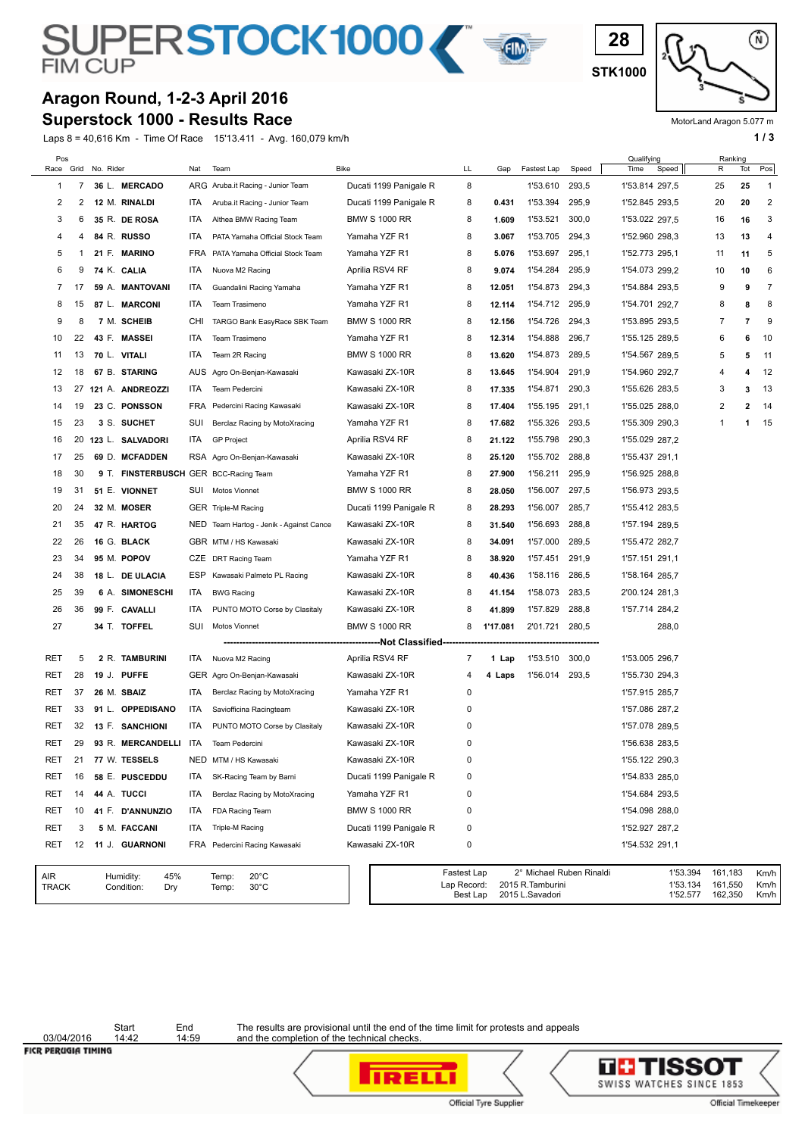# SUPERSTOCK1000

# **Aragon Round, 1-2-3 April 2016**

**Superstock 1000 - Results Race**

Laps 8 = 40,616 Km - Time Of Race 15'13.411 - Avg. 160,079 km/h **1 / 3** 



**28**

MotorLand Aragon 5.077 m

| Pos<br>Race         | Grid | No. Rider |                                       | Nat        | Team                                               | <b>Bike</b>                   | LL                                     | Gap      | Fastest Lap                          | Speed                    | Qualifying<br>Time | Speed                            | Ranking<br>R                  | Tot            | Pos                  |
|---------------------|------|-----------|---------------------------------------|------------|----------------------------------------------------|-------------------------------|----------------------------------------|----------|--------------------------------------|--------------------------|--------------------|----------------------------------|-------------------------------|----------------|----------------------|
| 1                   | 7    |           | 36 L. MERCADO                         |            | ARG Aruba.it Racing - Junior Team                  | Ducati 1199 Panigale R        | 8                                      |          | 1'53.610                             | 293,5                    | 1'53.814 297,5     |                                  | 25                            | 25             | 1                    |
| 2                   | 2    |           | 12 M. RINALDI                         | ITA.       | Aruba.it Racing - Junior Team                      | Ducati 1199 Panigale R        | 8                                      | 0.431    | 1'53.394                             | 295,9                    | 1'52.845 293,5     |                                  | 20                            | 20             | 2                    |
| 3                   | 6    |           | 35 R. DE ROSA                         | ITA.       | Althea BMW Racing Team                             | <b>BMW S 1000 RR</b>          | 8                                      | 1.609    | 1'53.521                             | 300,0                    | 1'53.022 297,5     |                                  | 16                            | 16             | 3                    |
| 4                   | 4    |           | 84 R. RUSSO                           | ITA        | PATA Yamaha Official Stock Team                    | Yamaha YZF R1                 | 8                                      | 3.067    | 1'53.705                             | 294,3                    | 1'52.960 298,3     |                                  | 13                            | 13             | 4                    |
| 5                   | 1    |           | 21 F. MARINO                          | <b>FRA</b> | PATA Yamaha Official Stock Team                    | Yamaha YZF R1                 | 8                                      | 5.076    | 1'53.697                             | 295,1                    | 1'52.773 295,1     |                                  | 11                            | 11             | 5                    |
| 6                   | 9    |           | 74 K. CALIA                           | ITA.       | Nuova M2 Racing                                    | Aprilia RSV4 RF               | 8                                      | 9.074    | 1'54.284                             | 295,9                    | 1'54.073 299,2     |                                  | 10                            | 10             | 6                    |
| 7                   | 17   |           | 59 A. MANTOVANI                       | ITA        | Guandalini Racing Yamaha                           | Yamaha YZF R1                 | 8                                      | 12.051   | 1'54.873                             | 294,3                    | 1'54.884 293,5     |                                  | 9                             | 9              | 7                    |
| 8                   | 15   |           | 87 L. MARCONI                         | ITA        | Team Trasimeno                                     | Yamaha YZF R1                 | 8                                      | 12.114   | 1'54.712                             | 295,9                    | 1'54.701 292,7     |                                  | 8                             | 8              | 8                    |
| 9                   | 8    |           | 7 M. SCHEIB                           | <b>CHI</b> | TARGO Bank EasyRace SBK Team                       | <b>BMW S 1000 RR</b>          | 8                                      | 12.156   | 1'54.726                             | 294,3                    | 1'53.895 293,5     |                                  | 7                             | $\overline{7}$ | 9                    |
| 10                  | 22   |           | 43 F. MASSEI                          | ITA.       | Team Trasimeno                                     | Yamaha YZF R1                 | 8                                      | 12.314   | 1'54.888                             | 296,7                    | 1'55.125 289,5     |                                  | 6                             | 6              | 10                   |
| 11                  | 13   |           | 70 L. VITALI                          | ITA        | Team 2R Racing                                     | <b>BMW S 1000 RR</b>          | 8                                      | 13.620   | 1'54.873                             | 289,5                    | 1'54.567 289,5     |                                  | 5                             | 5              | 11                   |
| 12                  | 18   |           | 67 B. STARING                         | AUS        | Agro On-Benjan-Kawasaki                            | Kawasaki ZX-10R               | 8                                      | 13.645   | 1'54.904                             | 291,9                    | 1'54.960 292,7     |                                  | 4                             | 4              | 12                   |
| 13                  | 27   |           | 121 A. ANDREOZZI                      | ITA.       | Team Pedercini                                     | Kawasaki ZX-10R               | 8                                      | 17.335   | 1'54.871                             | 290,3                    | 1'55.626 283,5     |                                  | 3                             | 3              | 13                   |
| 14                  | 19   |           | 23 C. PONSSON                         | FRA        | Pedercini Racing Kawasaki                          | Kawasaki ZX-10R               | 8                                      | 17.404   | 1'55.195                             | 291,1                    | 1'55.025 288,0     |                                  | 2                             | $\overline{2}$ | 14                   |
| 15                  | 23   |           | 3 S. SUCHET                           | SUI        | Berclaz Racing by MotoXracing                      | Yamaha YZF R1                 | 8                                      | 17.682   | 1'55.326                             | 293,5                    | 1'55.309 290,3     |                                  | 1                             | 1              | 15                   |
| 16                  | 20   |           | 123 L. SALVADORI                      | ITA        | <b>GP Project</b>                                  | Aprilia RSV4 RF               | 8                                      | 21.122   | 1'55.798                             | 290,3                    | 1'55.029 287.2     |                                  |                               |                |                      |
| 17                  | 25   |           | 69 D. MCFADDEN                        |            | RSA Agro On-Benjan-Kawasaki                        | Kawasaki ZX-10R               | 8                                      | 25.120   | 1'55.702                             | 288,8                    | 1'55.437 291,1     |                                  |                               |                |                      |
| 18                  | 30   |           | 9 T. FINSTERBUSCH GER BCC-Racing Team |            |                                                    | Yamaha YZF R1                 | 8                                      | 27.900   | 1'56.211                             | 295,9                    | 1'56.925 288,8     |                                  |                               |                |                      |
| 19                  | 31   |           | 51 E. VIONNET                         |            | SUI Motos Vionnet                                  | <b>BMW S 1000 RR</b>          | 8                                      | 28.050   | 1'56.007                             | 297,5                    | 1'56.973 293,5     |                                  |                               |                |                      |
| 20                  | 24   |           | 32 M. MOSER                           |            | GER Triple-M Racing                                | Ducati 1199 Panigale R        | 8                                      | 28.293   | 1'56.007                             | 285,7                    | 1'55.412 283,5     |                                  |                               |                |                      |
| 21                  | 35   |           | 47 R. HARTOG                          |            | NED Team Hartog - Jenik - Against Cance            | Kawasaki ZX-10R               | 8                                      | 31.540   | 1'56.693                             | 288,8                    | 1'57.194 289,5     |                                  |                               |                |                      |
| 22                  | 26   |           | 16 G. BLACK                           |            | GBR MTM / HS Kawasaki                              | Kawasaki ZX-10R               | 8                                      | 34.091   | 1'57.000                             | 289,5                    | 1'55.472 282,7     |                                  |                               |                |                      |
| 23                  | 34   |           | 95 M. POPOV                           |            | CZE DRT Racing Team                                | Yamaha YZF R1                 | 8                                      | 38.920   | 1'57.451                             | 291,9                    | 1'57.151 291,1     |                                  |                               |                |                      |
| 24                  | 38   |           | 18 L. DE ULACIA                       | ESP        | Kawasaki Palmeto PL Racing                         | Kawasaki ZX-10R               | 8                                      | 40.436   | 1'58.116                             | 286,5                    | 1'58.164 285,7     |                                  |                               |                |                      |
| 25                  | 39   |           | 6 A. SIMONESCHI                       | ITA        | <b>BWG Racing</b>                                  | Kawasaki ZX-10R               | 8                                      | 41.154   | 1'58.073                             | 283,5                    | 2'00.124 281,3     |                                  |                               |                |                      |
| 26                  | 36   |           | 99 F. CAVALLI                         | ITA        | PUNTO MOTO Corse by Clasitaly                      | Kawasaki ZX-10R               | 8                                      | 41.899   | 1'57.829                             | 288,8                    | 1'57.714 284,2     |                                  |                               |                |                      |
| 27                  |      |           | 34 T. TOFFEL                          | SUI        | Motos Vionnet                                      | <b>BMW S 1000 RR</b>          | 8                                      | 1'17.081 | 2'01.721                             | 280,5                    |                    | 288,0                            |                               |                |                      |
|                     |      |           |                                       |            |                                                    | ------------Not Classified--- |                                        |          |                                      |                          |                    |                                  |                               |                |                      |
| RET                 | 5    |           | 2 R. TAMBURINI                        | ITA        | Nuova M2 Racing                                    | Aprilia RSV4 RF               | 7                                      | 1 Lap    | 1'53.510                             | 300,0                    | 1'53.005 296,7     |                                  |                               |                |                      |
| RET                 | 28   |           | 19 J. PUFFE                           |            | GER Agro On-Benjan-Kawasaki                        | Kawasaki ZX-10R               | 4                                      | 4 Laps   | 1'56.014                             | 293,5                    | 1'55.730 294,3     |                                  |                               |                |                      |
| RET                 | 37   |           | 26 M. SBAIZ                           | ITA        | Berclaz Racing by MotoXracing                      | Yamaha YZF R1                 | 0                                      |          |                                      |                          | 1'57.915 285,7     |                                  |                               |                |                      |
| RET                 | 33   |           | 91 L. OPPEDISANO                      | ITA.       | Saviofficina Racingteam                            | Kawasaki ZX-10R               | 0                                      |          |                                      |                          | 1'57.086 287,2     |                                  |                               |                |                      |
| RET                 | 32   |           | 13 F. SANCHIONI                       | ITA        | PUNTO MOTO Corse by Clasitaly                      | Kawasaki ZX-10R               | 0                                      |          |                                      |                          | 1'57.078 289,5     |                                  |                               |                |                      |
| RET                 | 29   |           | 93 R. MERCANDELLI ITA                 |            | Team Pedercini                                     | Kawasaki ZX-10R               | 0                                      |          |                                      |                          | 1'56.638 283,5     |                                  |                               |                |                      |
| <b>RET</b>          | 21   |           | 77 W. TESSELS                         |            | NED MTM / HS Kawasaki                              | Kawasaki ZX-10R               | 0                                      |          |                                      |                          | 1'55.122 290,3     |                                  |                               |                |                      |
| RET                 | 16   |           | 58 E. PUSCEDDU                        | ITA        | SK-Racing Team by Barni                            | Ducati 1199 Panigale R        | 0                                      |          |                                      |                          | 1'54.833 285,0     |                                  |                               |                |                      |
| RET                 | 14   |           | 44 A. TUCCI                           | ITA        | Berclaz Racing by MotoXracing                      | Yamaha YZF R1                 | 0                                      |          |                                      |                          | 1'54.684 293,5     |                                  |                               |                |                      |
| RET                 | 10   |           | 41 F. D'ANNUNZIO                      | ITA        | FDA Racing Team                                    | <b>BMW S 1000 RR</b>          | 0                                      |          |                                      |                          | 1'54.098 288,0     |                                  |                               |                |                      |
| RET                 | 3    |           | 5 M. FACCANI                          | ITA        | Triple-M Racing                                    | Ducati 1199 Panigale R        | 0                                      |          |                                      |                          | 1'52.927 287,2     |                                  |                               |                |                      |
| RET                 | 12   |           | 11 J. GUARNONI                        | FRA        | Pedercini Racing Kawasaki                          | Kawasaki ZX-10R               | 0                                      |          |                                      |                          | 1'54.532 291,1     |                                  |                               |                |                      |
| AIR<br><b>TRACK</b> |      |           | 45%<br>Humidity:<br>Condition:<br>Dry |            | $20^{\circ}$ C<br>Temp:<br>$30^{\circ}$ C<br>Temp: |                               | Fastest Lap<br>Lap Record:<br>Best Lap |          | 2015 R. Tamburini<br>2015 L.Savadori | 2° Michael Ruben Rinaldi |                    | 1'53.394<br>1'53.134<br>1'52.577 | 161,183<br>161,550<br>162,350 |                | Km/h<br>Km/h<br>Km/h |

03/04/2016

Start End<br>14:42 14:59

The results are provisional until the end of the time limit for protests and appeals and the completion of the technical checks.

**IRELLI** 





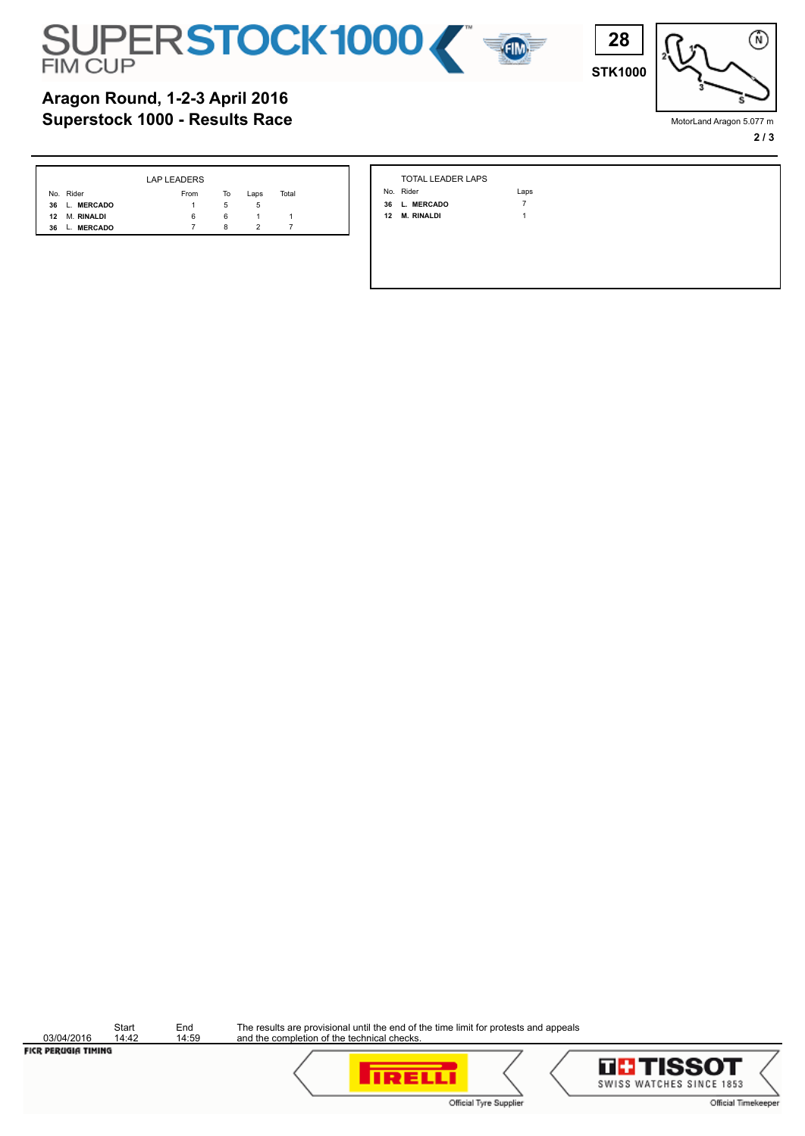



**STK1000**

**28**

## **Superstock 1000 - Results Race Aragon Round, 1-2-3 April 2016**

|                            | LAP LEADERS |    |      |       |
|----------------------------|-------------|----|------|-------|
| No. Rider                  | From        | To | Laps | Total |
| 36 L. MERCADO              |             | 5  | 5    |       |
| 12 M. RINALDI              | 6           | 6  | 1.   |       |
| <b>MERCADO</b><br>36<br>L. |             | 8  |      |       |

| TOTAL LEADER LAPS |
|-------------------|
| Jo Rider          |

- **36 L. MERCADO** 7  **12 M. RINALDI** 1
	-

Laps

The results are provisional until the end of the time limit for protests and appeals and the completion of the technical checks.



**IRELLI** 

Official Tyre Supplier





MotorLand Aragon 5.077 m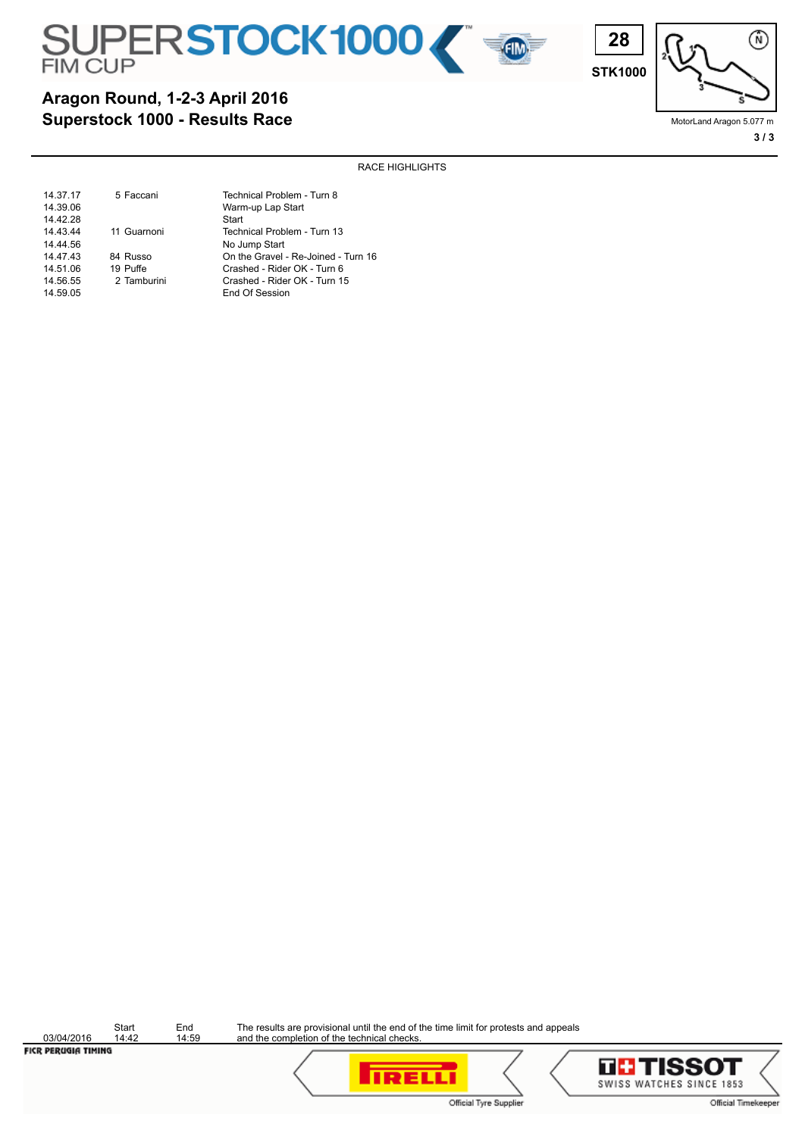



**STK1000**

**28**

渝

MotorLand Aragon 5.077 m **3 / 3**

RACE HIGHLIGHTS

| 14.37.17 | 5 Faccani   | Technical Problem - Turn 8          |
|----------|-------------|-------------------------------------|
| 14.39.06 |             | Warm-up Lap Start                   |
| 14.42.28 |             | Start                               |
| 14.43.44 | 11 Guarnoni | Technical Problem - Turn 13         |
| 14.44.56 |             | No Jump Start                       |
| 14.47.43 | 84 Russo    | On the Gravel - Re-Joined - Turn 16 |
| 14.51.06 | 19 Puffe    | Crashed - Rider OK - Turn 6         |
| 14.56.55 | 2 Tamburini | Crashed - Rider OK - Turn 15        |
| 14.59.05 |             | End Of Session                      |

03/04/2016

Start End<br>14:42 14:59

The results are provisional until the end of the time limit for protests and appeals and the completion of the technical checks.



**IRELLI** 

Official Tyre Supplier

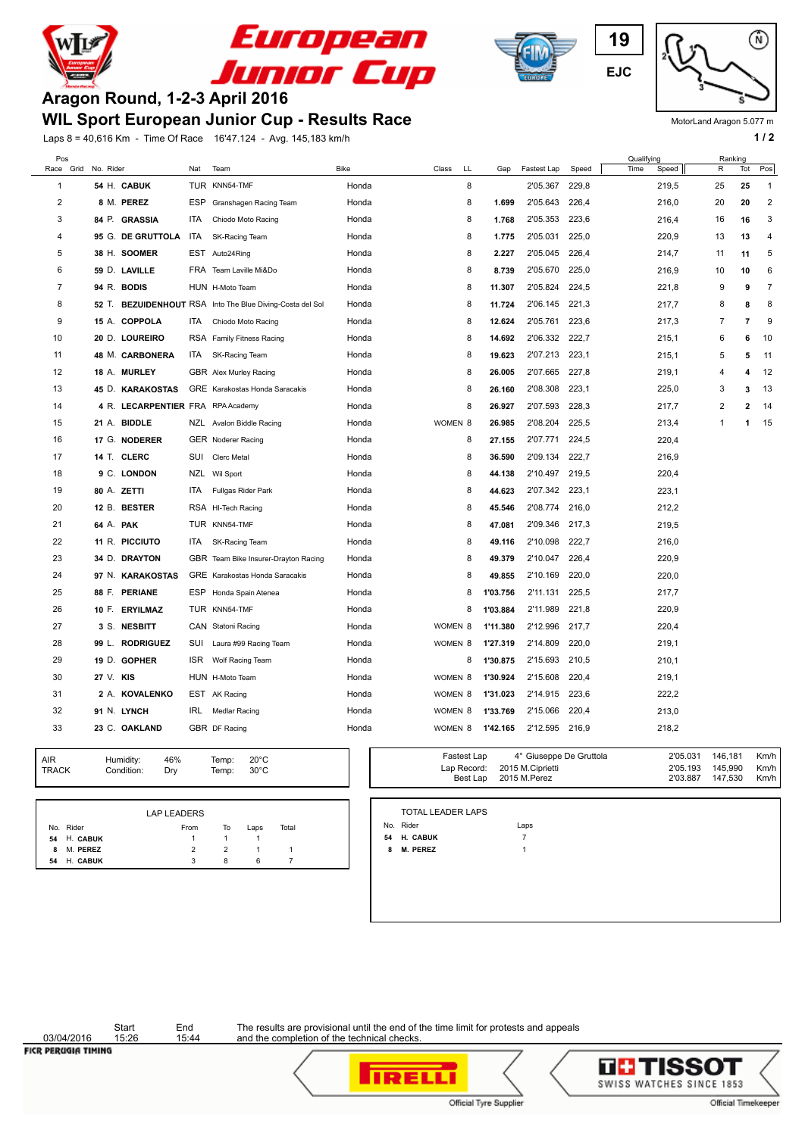



### **WIL Sport European Junior Cup - Results Race**

Laps 8 = 40,616 Km - Time Of Race 16'47.124 - Avg. 145,183 km/h **1 / 2 1 / 2** 







MotorLand Aragon 5.077 m

| Pos          |                                   |            |                                                           |       |                    |    |          |                |       | Qualifying    | Ranking        |                |                |
|--------------|-----------------------------------|------------|-----------------------------------------------------------|-------|--------------------|----|----------|----------------|-------|---------------|----------------|----------------|----------------|
| Grid<br>Race | No. Rider                         | Nat        | Team                                                      | Bike  | Class              | LL | Gap      | Fastest Lap    | Speed | Time<br>Speed | R              | Tot            | Pos            |
| $\mathbf{1}$ | 54 H. CABUK                       |            | TUR KNN54-TMF                                             | Honda |                    | 8  |          | 2'05.367       | 229,8 | 219,5         | 25             | 25             | $\mathbf{1}$   |
| 2            | 8 M. PEREZ                        | ESP        | Granshagen Racing Team                                    | Honda |                    | 8  | 1.699    | 2'05.643       | 226,4 | 216,0         | 20             | 20             | 2              |
| 3            | 84 P. GRASSIA                     | <b>ITA</b> | Chiodo Moto Racing                                        | Honda |                    | 8  | 1.768    | 2'05.353       | 223,6 | 216,4         | 16             | 16             | 3              |
| 4            | 95 G. DE GRUTTOLA                 | ITA        | SK-Racing Team                                            | Honda |                    | 8  | 1.775    | 2'05.031       | 225,0 | 220,9         | 13             | 13             | $\overline{4}$ |
| 5            | 38 H. SOOMER                      |            | EST Auto24Ring                                            | Honda |                    | 8  | 2.227    | 2'05.045       | 226,4 | 214,7         | 11             | 11             | 5              |
| 6            | 59 D. LAVILLE                     |            | FRA Team Laville Mi&Do                                    | Honda |                    | 8  | 8.739    | 2'05.670       | 225,0 | 216,9         | 10             | 10             | 6              |
| 7            | 94 R. BODIS                       |            | HUN H-Moto Team                                           | Honda |                    | 8  | 11.307   | 2'05.824       | 224,5 | 221,8         | 9              | 9              | $\overline{7}$ |
| 8            |                                   |            | 52 T. BEZUIDENHOUT RSA Into The Blue Diving-Costa del Sol | Honda |                    | 8  | 11.724   | 2'06.145       | 221,3 | 217,7         | 8              | 8              | 8              |
| 9            | 15 A. COPPOLA                     | ITA        | Chiodo Moto Racing                                        | Honda |                    | 8  | 12.624   | 2'05.761       | 223,6 | 217,3         | 7              | $\overline{7}$ | 9              |
| 10           | 20 D. LOUREIRO                    |            | RSA Family Fitness Racing                                 | Honda |                    | 8  | 14.692   | 2'06.332       | 222,7 | 215,1         | 6              | 6              | 10             |
| 11           | 48 M. CARBONERA                   | ITA        | SK-Racing Team                                            | Honda |                    | 8  | 19.623   | 2'07.213       | 223,1 | 215,1         | 5              | 5              | 11             |
| 12           | 18 A. MURLEY                      |            | GBR Alex Murley Racing                                    | Honda |                    | 8  | 26.005   | 2'07.665       | 227,8 | 219,1         | $\overline{4}$ | 4              | 12             |
| 13           | 45 D. KARAKOSTAS                  |            | GRE Karakostas Honda Saracakis                            | Honda |                    | 8  | 26.160   | 2'08.308       | 223,1 | 225,0         | 3              | 3              | 13             |
| 14           | 4 R. LECARPENTIER FRA RPA Academy |            |                                                           | Honda |                    | 8  | 26.927   | 2'07.593       | 228,3 | 217,7         | $\overline{2}$ | $\mathbf{z}$   | 14             |
| 15           | 21 A. BIDDLE                      |            | NZL Avalon Biddle Racing                                  | Honda | WOMEN <sub>8</sub> |    | 26.985   | 2'08.204       | 225,5 | 213,4         | 1              | 1              | 15             |
| 16           | 17 G. NODERER                     |            | <b>GER</b> Noderer Racing                                 | Honda |                    | 8  | 27.155   | 2'07.771       | 224,5 | 220,4         |                |                |                |
| 17           | 14 T. CLERC                       | SUI        | <b>Clerc Metal</b>                                        | Honda |                    | 8  | 36.590   | 2'09.134       | 222,7 | 216,9         |                |                |                |
| 18           | 9 C. LONDON                       |            | NZL Wil Sport                                             | Honda |                    | 8  | 44.138   | 2'10.497 219,5 |       | 220,4         |                |                |                |
| 19           | 80 A. ZETTI                       | <b>ITA</b> | Fullgas Rider Park                                        | Honda |                    | 8  | 44.623   | 2'07.342       | 223,1 | 223,1         |                |                |                |
| 20           | 12 B. BESTER                      |            | RSA HI-Tech Racing                                        | Honda |                    | 8  | 45.546   | 2'08.774       | 216,0 | 212,2         |                |                |                |
| 21           | 64 A. PAK                         |            | TUR KNN54-TMF                                             | Honda |                    | 8  | 47.081   | 2'09.346       | 217,3 | 219,5         |                |                |                |
| 22           | 11 R. PICCIUTO                    | ITA        | SK-Racing Team                                            | Honda |                    | 8  | 49.116   | 2'10.098       | 222,7 | 216,0         |                |                |                |
| 23           | 34 D. DRAYTON                     |            | GBR Team Bike Insurer-Drayton Racing                      | Honda |                    | 8  | 49.379   | 2'10.047       | 226,4 | 220,9         |                |                |                |
| 24           | 97 N. KARAKOSTAS                  |            | GRE Karakostas Honda Saracakis                            | Honda |                    | 8  | 49.855   | 2'10.169       | 220,0 | 220,0         |                |                |                |
| 25           | 88 F. PERIANE                     |            | ESP Honda Spain Atenea                                    | Honda |                    | 8  | 1'03.756 | 2'11.131       | 225,5 | 217,7         |                |                |                |
| 26           | 10 F. ERYILMAZ                    |            | TUR KNN54-TMF                                             | Honda |                    | 8  | 1'03.884 | 2'11.989       | 221,8 | 220,9         |                |                |                |
| 27           | 3 S. NESBITT                      |            | CAN Statoni Racing                                        | Honda | WOMEN 8            |    | 1'11.380 | 2'12.996       | 217,7 | 220,4         |                |                |                |
| 28           | <b>RODRIGUEZ</b><br>99 L.         | SUI        | Laura #99 Racing Team                                     | Honda | WOMEN 8            |    | 1'27.319 | 2'14.809       | 220,0 | 219,1         |                |                |                |
| 29           | 19 D. GOPHER                      | <b>ISR</b> | Wolf Racing Team                                          | Honda |                    | 8  | 1'30.875 | 2'15.693       | 210,5 | 210,1         |                |                |                |
| 30           | 27 V. KIS                         |            | HUN H-Moto Team                                           | Honda | WOMEN 8            |    | 1'30.924 | 2'15.608       | 220,4 | 219,1         |                |                |                |
| 31           | 2 A. KOVALENKO                    |            | EST AK Racing                                             | Honda | WOMEN 8            |    | 1'31.023 | 2'14.915       | 223,6 | 222,2         |                |                |                |
| 32           | 91 N. LYNCH                       | IRL        | <b>Medlar Racing</b>                                      | Honda | WOMEN 8            |    | 1'33.769 | 2'15.066       | 220,4 | 213,0         |                |                |                |
| 33           | 23 C. OAKLAND                     |            | GBR DF Racing                                             | Honda | WOMEN 8            |    | 1'42.165 | 2'12.595 216,9 |       | 218,2         |                |                |                |
|              |                                   |            |                                                           |       |                    |    |          |                |       |               |                |                |                |

| AIR<br>Humidity:<br><b>TRACK</b><br>Condition: | 46%<br>Drv | Temp:<br>Temp: | $20^{\circ}$ C<br>$30^{\circ}$ C |  |  |
|------------------------------------------------|------------|----------------|----------------------------------|--|--|
|------------------------------------------------|------------|----------------|----------------------------------|--|--|

|    |             | <b>LAP LEADERS</b> |    |      |       |
|----|-------------|--------------------|----|------|-------|
|    | No. Rider   | From               | To | Laps | Total |
|    | 54 H. CABUK |                    |    |      |       |
|    | 8 M. PEREZ  | 2                  |    |      |       |
| 54 | H. CABUK    | 3                  | 8  | ĥ    |       |

| Temp:<br>Temp: | $20^{\circ}$ C<br>$30^{\circ}$ C |       | Fastest Lap<br>Lap Record:<br>Best Lap | 4° Giuseppe De Gruttola<br>2015 M.Ciprietti<br>2015 M.Perez | 2'05.031<br>2'05.193<br>2'03.887 | 146,181<br>145,990<br>147,530 | Km/h<br>Km/h<br>Km/h |
|----------------|----------------------------------|-------|----------------------------------------|-------------------------------------------------------------|----------------------------------|-------------------------------|----------------------|
|                |                                  |       | <b>TOTAL LEADER LAPS</b>               |                                                             |                                  |                               |                      |
| To             | Laps                             | Total | No. Rider                              | Laps                                                        |                                  |                               |                      |
|                |                                  |       | 54 H. CABUK                            |                                                             |                                  |                               |                      |
| $\overline{2}$ |                                  |       | <b>M. PEREZ</b><br>8                   |                                                             |                                  |                               |                      |
| 8              | 6                                |       |                                        |                                                             |                                  |                               |                      |
|                |                                  |       |                                        |                                                             |                                  |                               |                      |
|                |                                  |       |                                        |                                                             |                                  |                               |                      |

03/04/2016<br>FICR PERUGIA TIMING

Start End<br>15:26 15:44

The results are provisional until the end of the time limit for protests and appeals and the completion of the technical checks.

**IRELLI**